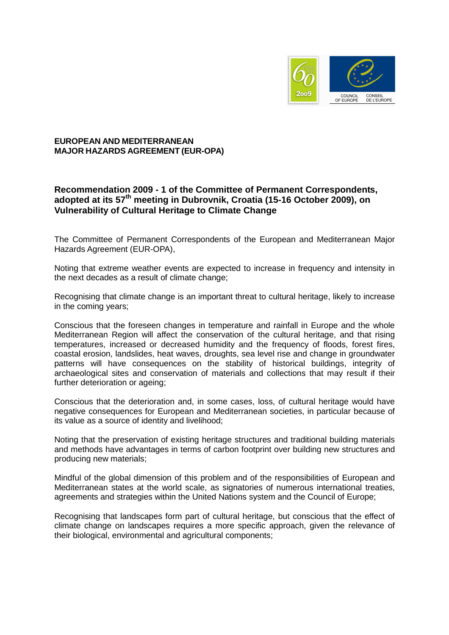

## **EUROPEAN AND MEDITERRANEAN MAJOR HAZARDS AGREEMENT (EUR-OPA)**

## **Recommendation 2009 - 1 of the Committee of Permanent Correspondents, adopted at its 57th meeting in Dubrovnik, Croatia (15-16 October 2009), on Vulnerability of Cultural Heritage to Climate Change**

The Committee of Permanent Correspondents of the European and Mediterranean Major Hazards Agreement (EUR-OPA),

Noting that extreme weather events are expected to increase in frequency and intensity in the next decades as a result of climate change;

Recognising that climate change is an important threat to cultural heritage, likely to increase in the coming years;

Conscious that the foreseen changes in temperature and rainfall in Europe and the whole Mediterranean Region will affect the conservation of the cultural heritage, and that rising temperatures, increased or decreased humidity and the frequency of floods, forest fires, coastal erosion, landslides, heat waves, droughts, sea level rise and change in groundwater patterns will have consequences on the stability of historical buildings, integrity of archaeological sites and conservation of materials and collections that may result if their further deterioration or ageing;

Conscious that the deterioration and, in some cases, loss, of cultural heritage would have negative consequences for European and Mediterranean societies, in particular because of its value as a source of identity and livelihood;

Noting that the preservation of existing heritage structures and traditional building materials and methods have advantages in terms of carbon footprint over building new structures and producing new materials;

Mindful of the global dimension of this problem and of the responsibilities of European and Mediterranean states at the world scale, as signatories of numerous international treaties, agreements and strategies within the United Nations system and the Council of Europe;

Recognising that landscapes form part of cultural heritage, but conscious that the effect of climate change on landscapes requires a more specific approach, given the relevance of their biological, environmental and agricultural components;